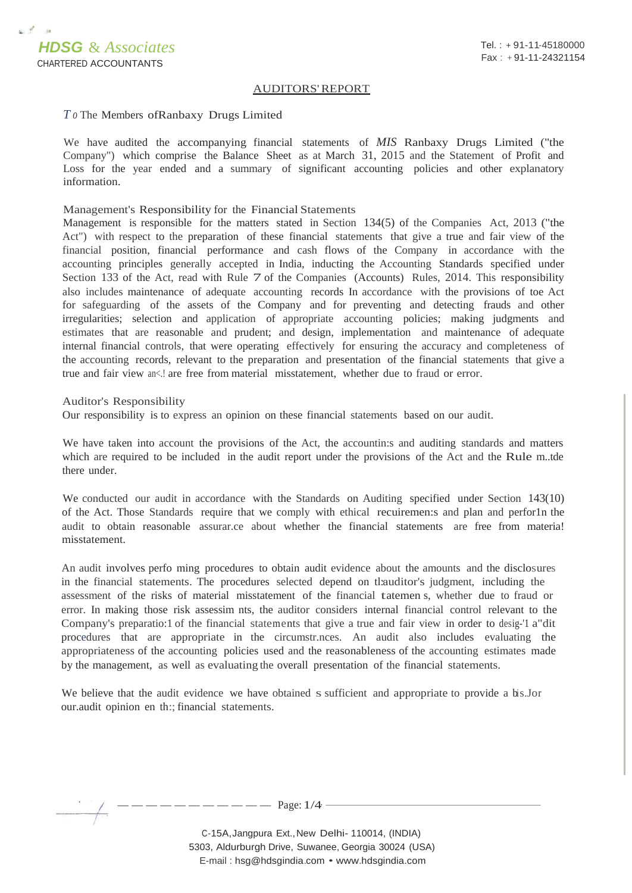

## AUDITORS'REPORT

## *T o* The Members ofRanbaxy Drugs Limited

We have audited the accompanying. financial statements of *MIS* Ranbaxy Drugs Limited ("the Company") which comprise the Balance Sheet as at March 31, 2015 and the Statement of Profit and Loss for the year ended and a summary of significant accounting policies and other explanatory information.

## Management's Responsibility for the Financial Statements

Management is responsible for the matters stated in Section 134(5) of the Companies Act, 2013 ("the Act") with respect to the preparation of these financial statements that give a true and fair view of the financial position, financial performance and cash flows of the Company in accordance with the accounting principles generally accepted in India, inducting the Accounting Standards specified under Section 133 of the Act, read with Rule 7 of the Companies (Accounts) Rules, 2014. This responsibility also includes maintenance of adequate accounting records In accordance with the provisions of toe Act for safeguarding of the assets of the Company and for preventing and detecting frauds and other irregularities; selection and application of appropriate accounting policies; making judgments and estimates that are reasonable and prudent; and design, implementation and maintenance of adequate internal financial controls, that were operating effectively for ensuring the accuracy and completeness of the accounting records, relevant to the preparation and presentation of the financial statements that give a true and fair view  $an \le l$  are free from material misstatement, whether due to fraud or error.

## Auditor's Responsibility

Our responsibility is to express an opinion on these financial statements based on our audit.

We have taken into account the provisions of the Act, the accountin:s and auditing standards and matters which are required to be included in the audit report under the provisions of the Act and the Rule m..tde there under.

We conducted our audit in accordance with the Standards on Auditing specified under Section 143(10) of the Act. Those Standards require that we comply with ethical recuiremen:s and plan and perfor1n the audit to obtain reasonable assurar.ce about whether the financial statements are free from materia! misstatement.

An audit involves perfo ming procedures to obtain audit evidence about the amounts and the disclosures in the financial statements. The procedures selected depend on tl:auditor's judgment, including the assessment of the risks of material misstatement of the financial tatemen s, whether due to fraud or error. In making those risk assessim nts, the auditor considers internal financial control relevant to the Company's preparatio:1 of the financial statements that give a true and fair view in order to desig-'1 a"dit procedures that are appropriate in the circumstr.nces. An audit also includes evaluating the appropriateness of the accounting policies used and the reasonableness of the accounting estimates made by the management, as well as evaluating the overall presentation of the financial statements.

We believe that the audit evidence we have obtained s sufficient and appropriate to provide a bis.Jor our.audit opinion en th:; financial statements.

 $---$  Page:  $1/4$  -

C-15A,Jangpura Ext.,New Delhi- 110014, (INDIA) 5303, Aldurburgh Drive, Suwanee, Georgia 30024 (USA) E-mail : [hsg@hdsgindia.com](mailto:hsg@hdsgindia.com) • [www.hdsgindia.com](http://www.hdsgindia.com/)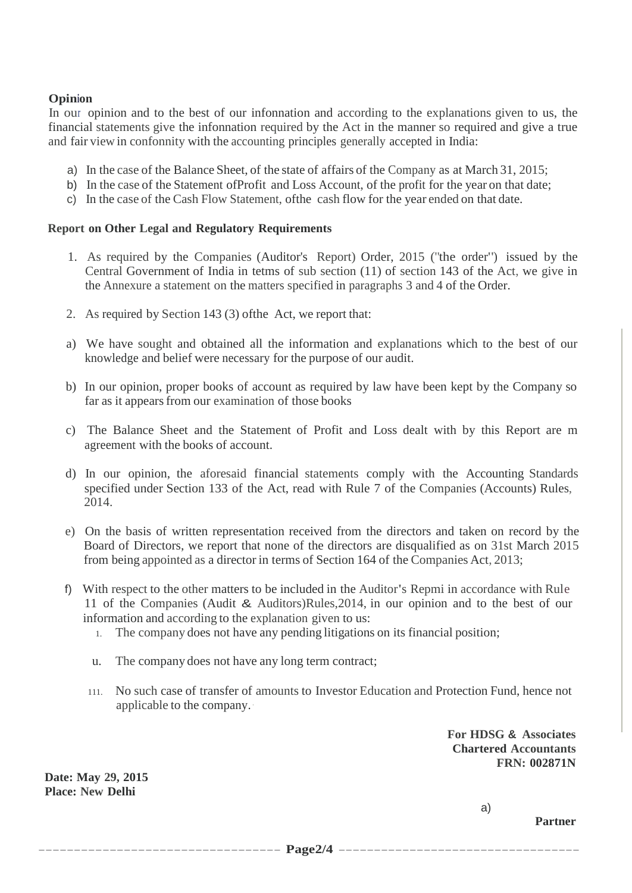# **Opinion**

In our opinion and to the best of our infonnation and according to the explanations given to us, the financial statements give the infonnation required by the Act in the manner so required and give a true and fair view in confonnity with the accounting principles generally accepted in India:

- a) In the case of the Balance Sheet, of the state of affairs of the Company as at March 31, 2015;
- b) In the case of the Statement ofProfit and Loss Account, of the profit for the year on that date;
- c) In the case of the Cash Flow Statement, ofthe cash flow for the year ended on that date.

# **Report on Other Legal and Regulatory Requirements**

- 1. As required by the Companies (Auditor's Report) Order, 2015 ("the order") issued by the Central Government of India in tetms of sub section (11) of section 143 of the Act, we give in the Annexure a statement on the matters specified in paragraphs 3 and 4 of the Order.
- 2. As required by Section 143 (3) ofthe Act, we report that:
- a) We have sought and obtained all the information and explanations which to the best of our knowledge and belief were necessary for the purpose of our audit.
- b) In our opinion, proper books of account as required by law have been kept by the Company so far as it appears from our examination of those books
- c) The Balance Sheet and the Statement of Profit and Loss dealt with by this Report are m agreement with the books of account.
- d) In our opinion, the aforesaid financial statements comply with the Accounting Standards specified under Section 133 of the Act, read with Rule 7 of the Companies (Accounts) Rules, 2014.
- e) On the basis of written representation received from the directors and taken on record by the Board of Directors, we report that none of the directors are disqualified as on 31st March 2015 from being appointed as a director in terms of Section 164 of the Companies Act, 2013;
- f) With respect to the other matters to be included in the Auditor's Repmi in accordance with Rule 11 of the Companies (Audit & Auditors)Rules,2014, in our opinion and to the best of our information and according to the explanation given to us:
	- 1. The company does not have any pending litigations on its financial position;
	- u. The company does not have any long term contract;
	- 111. No such case of transfer of amounts to Investor Education and Protection Fund, hence not applicable to the company.·

**For HDSG & Associates Chartered Accountants FRN: 002871N**

**Date: May 29, 2015 Place: New Delhi**

a)

**Partner**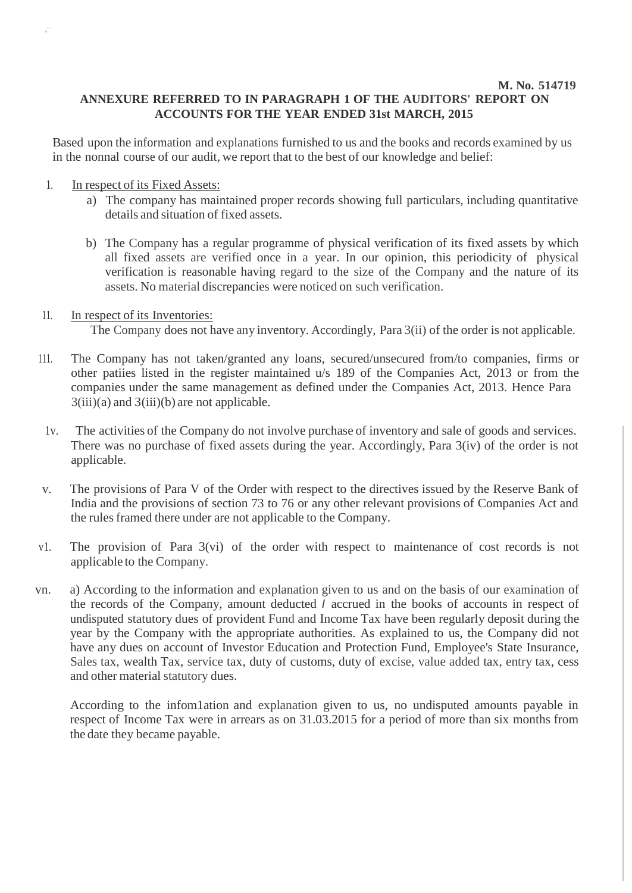# **M. No. 514719 ANNEXURE REFERRED TO IN PARAGRAPH 1 OF THE AUDITORS' REPORT ON ACCOUNTS FOR THE YEAR ENDED 31st MARCH, 2015**

Based upon the information and explanations furnished to us and the books and records examined by us in the nonnal course of our audit, we report that to the best of our knowledge and belief:

1. In respect of its Fixed Assets:

,··

- a) The company has maintained proper records showing full particulars, including quantitative details and situation of fixed assets.
- b) The Company has a regular programme of physical verification of its fixed assets by which all fixed assets are verified once in a year. In our opinion, this periodicity of physical verification is reasonable having regard to the size of the Company and the nature of its assets. No material discrepancies were noticed on such verification.
- 11. In respect of its Inventories: The Company does not have any inventory. Accordingly, Para 3(ii) of the order is not applicable.
- 111. The Company has not taken/granted any loans, secured/unsecured from/to companies, firms or other patiies listed in the register maintained u/s 189 of the Companies Act, 2013 or from the companies under the same management as defined under the Companies Act, 2013. Hence Para  $3(iii)(a)$  and  $3(iii)(b)$  are not applicable.
- 1v. The activities of the Company do not involve purchase of inventory and sale of goods and services. There was no purchase of fixed assets during the year. Accordingly, Para 3(iv) of the order is not applicable.
- v. The provisions of Para V of the Order with respect to the directives issued by the Reserve Bank of India and the provisions of section 73 to 76 or any other relevant provisions of Companies Act and the rules framed there under are not applicable to the Company.
- v1. The provision of Para 3(vi) of the order with respect to maintenance of cost records is not applicable to the Company.
- vn. a) According to the information and explanation given to us and on the basis of our examination of the records of the Company, amount deducted *I* accrued in the books of accounts in respect of undisputed statutory dues of provident Fund and Income Tax have been regularly deposit during the year by the Company with the appropriate authorities. As explained to us, the Company did not have any dues on account of Investor Education and Protection Fund, Employee's State Insurance, Sales tax, wealth Tax, service tax, duty of customs, duty of excise, value added tax, entry tax, cess and other material statutory dues.

According to the infom1ation and explanation given to us, no undisputed amounts payable in respect of Income Tax were in arrears as on 31.03.2015 for a period of more than six months from the date they became payable.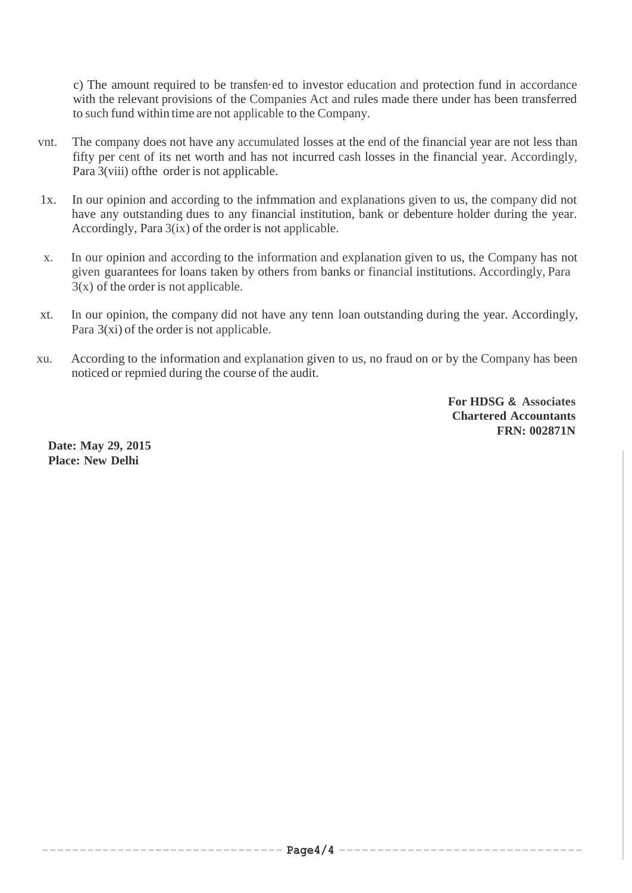c) The amount required to be transfen·ed to investor education and protection fund in accordance with the relevant provisions of the Companies Act and rules made there under has been transferred to such fund within time are not applicable to the Company.

- vnt. The company does not have any accumulated losses at the end of the financial year are not less than fifty per cent of its net worth and has not incurred cash losses in the financial year. Accordingly, Para 3(viii) ofthe order is not applicable.
- 1x. In our opinion and according to the infmmation and explanations given to us, the company did not have any outstanding dues to any financial institution, bank or debenture holder during the year. Accordingly, Para 3(ix) of the order is not applicable.
- x. In our opinion and according to the information and explanation given to us, the Company has not given guarantees for loans taken by others from banks or financial institutions. Accordingly, Para  $3(x)$  of the order is not applicable.
- xt. In our opinion, the company did not have any tenn loan outstanding during the year. Accordingly, Para 3(xi) of the order is not applicable.
- xu. According to the information and explanation given to us, no fraud on or by the Company has been noticed or repmied during the course of the audit.

**For HDSG & Associates Chartered Accountants FRN: 002871N**

**Date: May 29, 2015 Place: New Delhi**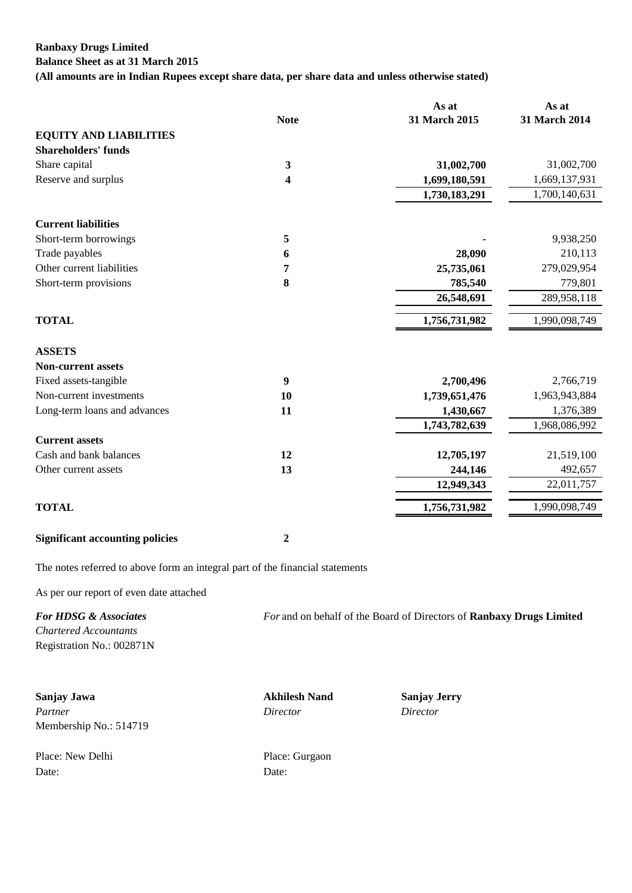# **Ranbaxy Drugs Limited Balance Sheet as at 31 March 2015**

**(All amounts are in Indian Rupees except share data, per share data and unless otherwise stated)**

|                                        |              | As at         | As at         |
|----------------------------------------|--------------|---------------|---------------|
|                                        | <b>Note</b>  | 31 March 2015 | 31 March 2014 |
| <b>EQUITY AND LIABILITIES</b>          |              |               |               |
| <b>Shareholders' funds</b>             |              |               |               |
| Share capital                          | $\mathbf{3}$ | 31,002,700    | 31,002,700    |
| Reserve and surplus                    | 4            | 1,699,180,591 | 1,669,137,931 |
|                                        |              | 1,730,183,291 | 1,700,140,631 |
| <b>Current liabilities</b>             |              |               |               |
| Short-term borrowings                  | 5            |               | 9,938,250     |
| Trade payables                         | 6            | 28,090        | 210,113       |
| Other current liabilities              | 7            | 25,735,061    | 279,029,954   |
| Short-term provisions                  | 8            | 785,540       | 779,801       |
|                                        |              | 26,548,691    | 289,958,118   |
| <b>TOTAL</b>                           |              | 1,756,731,982 | 1,990,098,749 |
| <b>ASSETS</b>                          |              |               |               |
| <b>Non-current assets</b>              |              |               |               |
| Fixed assets-tangible                  | 9            | 2,700,496     | 2,766,719     |
| Non-current investments                | 10           | 1,739,651,476 | 1,963,943,884 |
| Long-term loans and advances           | 11           | 1,430,667     | 1,376,389     |
|                                        |              | 1,743,782,639 | 1,968,086,992 |
| <b>Current assets</b>                  |              |               |               |
| Cash and bank balances                 | 12           | 12,705,197    | 21,519,100    |
| Other current assets                   | 13           | 244,146       | 492,657       |
|                                        |              | 12,949,343    | 22,011,757    |
| <b>TOTAL</b>                           |              | 1,756,731,982 | 1,990,098,749 |
| <b>Significant accounting policies</b> | 2            |               |               |

The notes referred to above form an integral part of the financial statements

As per our report of even date attached

| <b>For HDSG &amp; Associates</b> | For and on behalf of the Board of Directors of <b>Ranbaxy Drugs Limited</b> |
|----------------------------------|-----------------------------------------------------------------------------|
| Chartered Accountants            |                                                                             |
| Registration No.: 002871N        |                                                                             |

**Sanjay Jawa Akhilesh Nand Sanjay Jerry** *Partner Director Director* Membership No.: 514719

Place: New Delhi Place: Gurgaon Date: Date: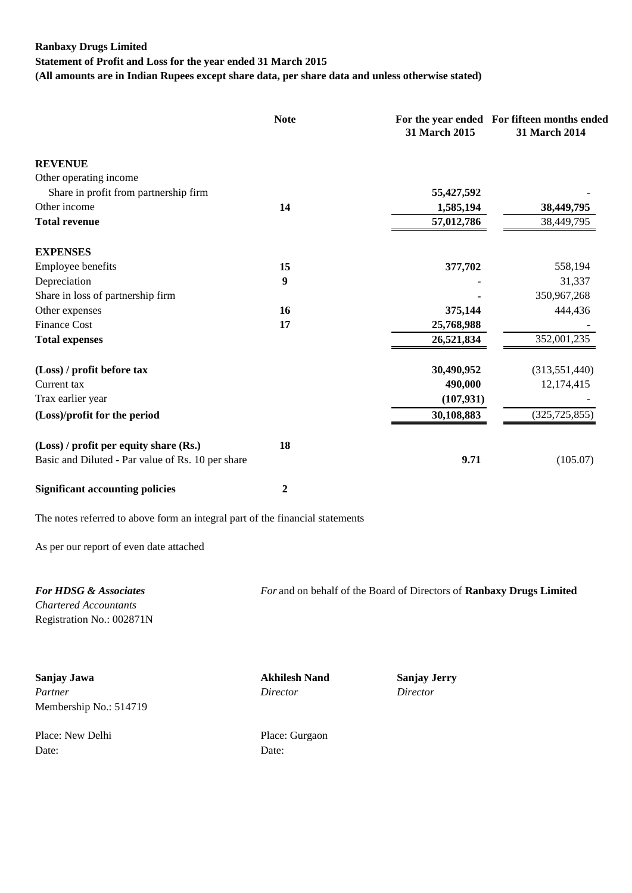# **Ranbaxy Drugs Limited Statement of Profit and Loss for the year ended 31 March 2015 (All amounts are in Indian Rupees except share data, per share data and unless otherwise stated)**

|                                                                               | <b>Note</b>      | 31 March 2015                                                        | For the year ended For fifteen months ended<br>31 March 2014 |
|-------------------------------------------------------------------------------|------------------|----------------------------------------------------------------------|--------------------------------------------------------------|
| <b>REVENUE</b>                                                                |                  |                                                                      |                                                              |
| Other operating income                                                        |                  |                                                                      |                                                              |
| Share in profit from partnership firm                                         |                  | 55,427,592                                                           |                                                              |
| Other income                                                                  | 14               | 1,585,194                                                            | 38,449,795                                                   |
| <b>Total revenue</b>                                                          |                  | 57,012,786                                                           | 38,449,795                                                   |
| <b>EXPENSES</b>                                                               |                  |                                                                      |                                                              |
| Employee benefits                                                             | 15               | 377,702                                                              | 558,194                                                      |
| Depreciation                                                                  | 9                |                                                                      | 31,337                                                       |
| Share in loss of partnership firm                                             |                  |                                                                      | 350,967,268                                                  |
| Other expenses                                                                | <b>16</b>        | 375,144                                                              | 444,436                                                      |
| <b>Finance Cost</b>                                                           | 17               | 25,768,988                                                           |                                                              |
| <b>Total expenses</b>                                                         |                  | 26,521,834                                                           | 352,001,235                                                  |
| (Loss) / profit before tax                                                    |                  | 30,490,952                                                           | (313, 551, 440)                                              |
| Current tax                                                                   |                  | 490,000                                                              | 12,174,415                                                   |
| Trax earlier year                                                             |                  | (107, 931)                                                           |                                                              |
| (Loss)/profit for the period                                                  |                  | 30,108,883                                                           | (325, 725, 855)                                              |
| (Loss) / profit per equity share (Rs.)                                        | 18               |                                                                      |                                                              |
| Basic and Diluted - Par value of Rs. 10 per share                             |                  | 9.71                                                                 | (105.07)                                                     |
| <b>Significant accounting policies</b>                                        | $\boldsymbol{2}$ |                                                                      |                                                              |
| The notes referred to above form an integral part of the financial statements |                  |                                                                      |                                                              |
| As per our report of even date attached                                       |                  |                                                                      |                                                              |
| <b>For HDSG &amp; Associates</b>                                              |                  | For and on behalf of the Board of Directors of Ranbaxy Drugs Limited |                                                              |
| <b>Chartered Accountants</b>                                                  |                  |                                                                      |                                                              |
| Registration No.: 002871N                                                     |                  |                                                                      |                                                              |

**Sanjay Jawa Akhilesh Nand Sanjay Jerry** *Partner Director Director* Membership No.: 514719

Place: New Delhi Place: Gurgaon Date: Date: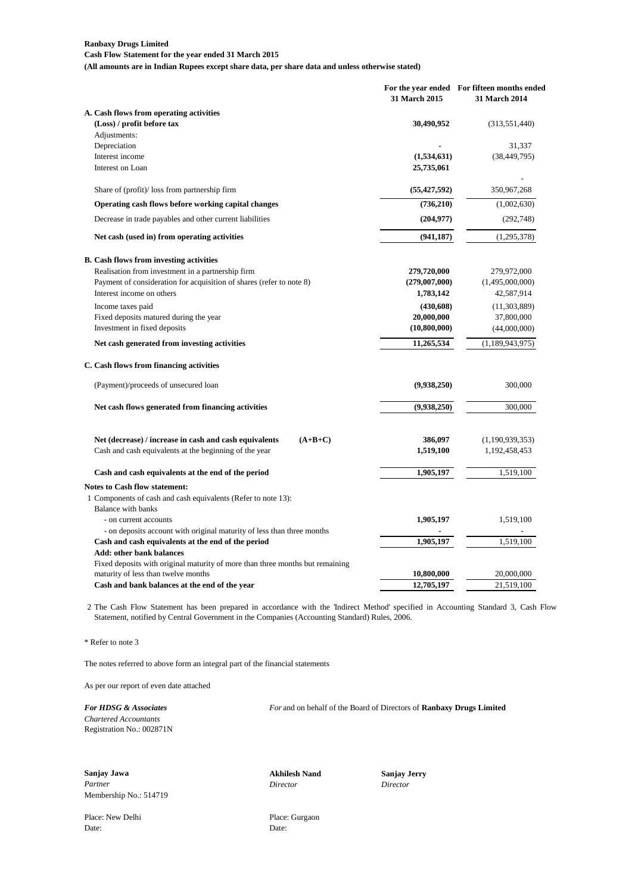**Cash Flow Statement for the year ended 31 March 2015 (All amounts are in Indian Rupees except share data, per share data and unless otherwise stated)**

|                                                                                            | 31 March 2015  | For the year ended For fifteen months ended<br>31 March 2014 |
|--------------------------------------------------------------------------------------------|----------------|--------------------------------------------------------------|
| A. Cash flows from operating activities                                                    |                |                                                              |
| (Loss) / profit before tax                                                                 | 30,490,952     | (313, 551, 440)                                              |
| Adjustments:                                                                               |                |                                                              |
| Depreciation                                                                               |                | 31,337                                                       |
| Interest income<br>Interest on Loan                                                        | (1,534,631)    | (38, 449, 795)                                               |
|                                                                                            | 25,735,061     |                                                              |
| Share of (profit)/ loss from partnership firm                                              | (55, 427, 592) | 350,967,268                                                  |
| Operating cash flows before working capital changes                                        | (736,210)      | (1,002,630)                                                  |
| Decrease in trade payables and other current liabilities                                   | (204, 977)     | (292, 748)                                                   |
| Net cash (used in) from operating activities                                               | (941, 187)     | (1,295,378)                                                  |
| <b>B.</b> Cash flows from investing activities                                             |                |                                                              |
| Realisation from investment in a partnership firm                                          | 279,720,000    | 279,972,000                                                  |
| Payment of consideration for acquisition of shares (refer to note 8)                       | (279,007,000)  | (1,495,000,000)                                              |
| Interest income on others                                                                  | 1,783,142      | 42,587,914                                                   |
| Income taxes paid                                                                          | (430,608)      | (11, 303, 889)                                               |
| Fixed deposits matured during the year                                                     | 20,000,000     | 37,800,000                                                   |
| Investment in fixed deposits                                                               | (10,800,000)   | (44,000,000)                                                 |
| Net cash generated from investing activities                                               | 11,265,534     | (1,189,943,975)                                              |
| C. Cash flows from financing activities                                                    |                |                                                              |
| (Payment)/proceeds of unsecured loan                                                       | (9,938,250)    | 300,000                                                      |
| Net cash flows generated from financing activities                                         | (9,938,250)    | 300,000                                                      |
|                                                                                            |                |                                                              |
| Net (decrease) / increase in cash and cash equivalents<br>$(A+B+C)$                        | 386,097        | (1,190,939,353)                                              |
| Cash and cash equivalents at the beginning of the year                                     | 1,519,100      | 1,192,458,453                                                |
| Cash and cash equivalents at the end of the period                                         | 1,905,197      | 1,519,100                                                    |
| Notes to Cash flow statement:                                                              |                |                                                              |
| 1 Components of cash and cash equivalents (Refer to note 13):<br><b>Balance with banks</b> |                |                                                              |
| - on current accounts                                                                      | 1,905,197      | 1,519,100                                                    |
| - on deposits account with original maturity of less than three months                     |                |                                                              |
| Cash and cash equivalents at the end of the period                                         | 1,905,197      | 1,519,100                                                    |
| Add: other bank balances                                                                   |                |                                                              |
| Fixed deposits with original maturity of more than three months but remaining              |                |                                                              |
| maturity of less than twelve months                                                        | 10,800,000     | 20,000,000                                                   |
| Cash and bank balances at the end of the year                                              | 12,705,197     | 21,519,100                                                   |

2 The Cash Flow Statement has been prepared in accordance with the 'Indirect Method' specified in Accounting Standard 3, Cash Flow Statement, notified by Central Government in the Companies (Accounting Standard) Rules, 2006.

\* Refer to note 3

The notes referred to above form an integral part of the financial statements

As per our report of even date attached

*Chartered Accountants*

*For HDSG & Associates For* and on behalf of the Board of Directors of **Ranbaxy Drugs Limited**

Registration No.: 002871N

**Sanjay Jawa Akhilesh Nand Sanjay Jerry** *Partner Director Director* Membership No.: 514719

Place: New Delhi Place: Gurgaon Date: Date: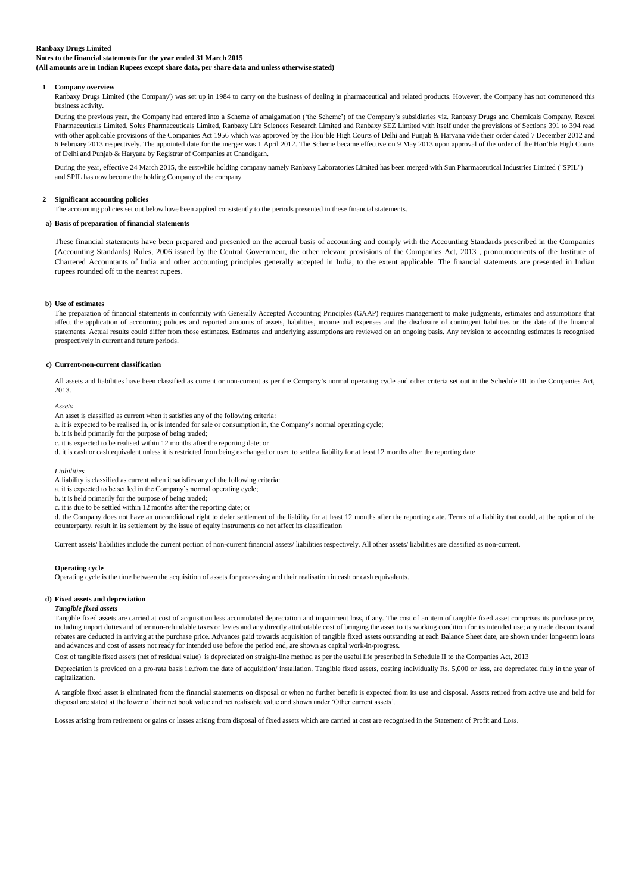**Notes to the financial statements for the year ended 31 March 2015**

**(All amounts are in Indian Rupees except share data, per share data and unless otherwise stated)**

#### **1 Company overview**

Ranbaxy Drugs Limited ('the Company') was set up in 1984 to carry on the business of dealing in pharmaceutical and related products. However, the Company has not commenced this business activity.

During the previous year, the Company had entered into a Scheme of amalgamation ("the Scheme") of the Company"s subsidiaries viz. Ranbaxy Drugs and Chemicals Company, Rexcel Pharmaceuticals Limited, Solus Pharmaceuticals Limited, Ranbaxy Life Sciences Research Limited and Ranbaxy SEZ Limited with itself under the provisions of Sections 391 to 394 read with other applicable provisions of the Companies Act 1956 which was approved by the Hon'ble High Courts of Delhi and Punjab & Haryana vide their order dated 7 December 2012 and 6 February 2013 respectively. The appointed date for the merger was 1 April 2012. The Scheme became effective on 9 May 2013 upon approval of the order of the Hon"ble High Courts of Delhi and Punjab & Haryana by Registrar of Companies at Chandigarh.

During the year, effective 24 March 2015, the erstwhile holding company namely Ranbaxy Laboratories Limited has been merged with Sun Pharmaceutical Industries Limited ("SPIL") and SPIL has now become the holding Company of the company.

#### **2 Significant accounting policies**

The accounting policies set out below have been applied consistently to the periods presented in these financial statements.

#### **a) Basis of preparation of financial statements**

These financial statements have been prepared and presented on the accrual basis of accounting and comply with the Accounting Standards prescribed in the Companies (Accounting Standards) Rules, 2006 issued by the Central Government, the other relevant provisions of the Companies Act, 2013 , pronouncements of the Institute of Chartered Accountants of India and other accounting principles generally accepted in India, to the extent applicable. The financial statements are presented in Indian rupees rounded off to the nearest rupees.

#### **b) Use of estimates**

The preparation of financial statements in conformity with Generally Accepted Accounting Principles (GAAP) requires management to make judgments, estimates and assumptions that affect the application of accounting policies and reported amounts of assets, liabilities, income and expenses and the disclosure of contingent liabilities on the date of the financial statements. Actual results could differ from those estimates. Estimates and underlying assumptions are reviewed on an ongoing basis. Any revision to accounting estimates is recognised prospectively in current and future periods.

#### **c) Current-non-current classification**

All assets and liabilities have been classified as current or non-current as per the Company's normal operating cycle and other criteria set out in the Schedule III to the Companies Act, 2013.

*Assets*

- An asset is classified as current when it satisfies any of the following criteria:
- a. it is expected to be realised in, or is intended for sale or consumption in, the Company's normal operating cycle;
- b. it is held primarily for the purpose of being traded;
- c. it is expected to be realised within 12 months after the reporting date; or
- d. it is cash or cash equivalent unless it is restricted from being exchanged or used to settle a liability for at least 12 months after the reporting date

#### *Liabilities*

- A liability is classified as current when it satisfies any of the following criteria:
- a. it is expected to be settled in the Company"s normal operating cycle;
- b. it is held primarily for the purpose of being traded;
- c. it is due to be settled within 12 months after the reporting date; or

d. the Company does not have an unconditional right to defer settlement of the liability for at least 12 months after the reporting date. Terms of a liability that could, at the option of the counterparty, result in its settlement by the issue of equity instruments do not affect its classification

Current assets/ liabilities include the current portion of non-current financial assets/ liabilities respectively. All other assets/ liabilities are classified as non-current.

#### **Operating cycle**

Operating cycle is the time between the acquisition of assets for processing and their realisation in cash or cash equivalents.

### **d) Fixed assets and depreciation**

#### *Tangible fixed assets*

Tangible fixed assets are carried at cost of acquisition less accumulated depreciation and impairment loss, if any. The cost of an item of tangible fixed asset comprises its purchase price, including import duties and other non-refundable taxes or levies and any directly attributable cost of bringing the asset to its working condition for its intended use; any trade discounts and rebates are deducted in arriving at the purchase price. Advances paid towards acquisition of tangible fixed assets outstanding at each Balance Sheet date, are shown under long-term loans and advances and cost of assets not ready for intended use before the period end, are shown as capital work-in-progress.

Cost of tangible fixed assets (net of residual value) is depreciated on straight-line method as per the useful life prescribed in Schedule II to the Companies Act, 2013

Depreciation is provided on a pro-rata basis i.e.from the date of acquisition/ installation. Tangible fixed assets, costing individually Rs. 5,000 or less, are depreciated fully in the year of capitalization.

A tangible fixed asset is eliminated from the financial statements on disposal or when no further benefit is expected from its use and disposal. Assets retired from active use and held for disposal are stated at the lower of their net book value and net realisable value and shown under "Other current assets".

Losses arising from retirement or gains or losses arising from disposal of fixed assets which are carried at cost are recognised in the Statement of Profit and Loss.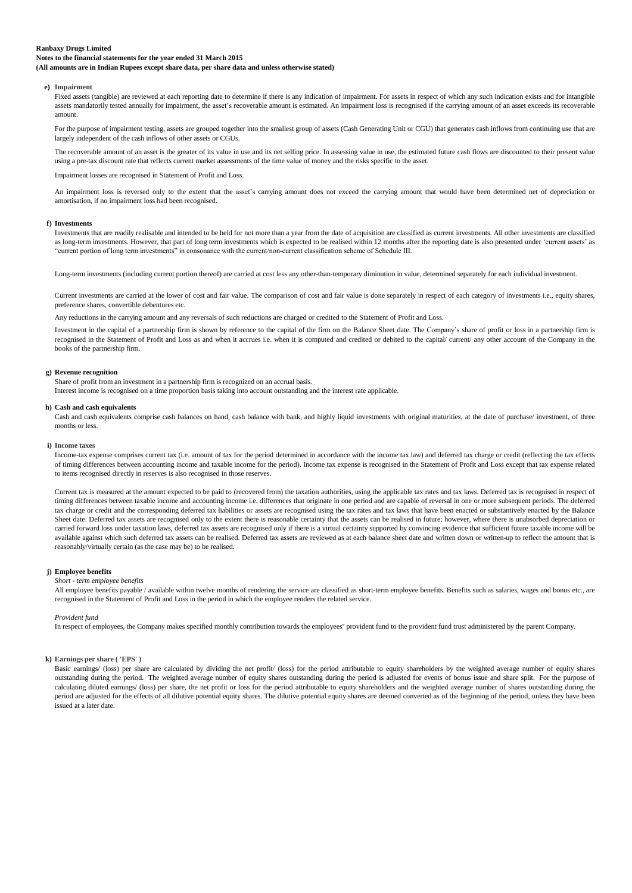**Notes to the financial statements for the year ended 31 March 2015**

**(All amounts are in Indian Rupees except share data, per share data and unless otherwise stated)**

#### **e) Impairment**

Fixed assets (tangible) are reviewed at each reporting date to determine if there is any indication of impairment. For assets in respect of which any such indication exists and for intangible assets mandatorily tested annually for impairment, the asset's recoverable amount is estimated. An impairment loss is recognised if the carrying amount of an asset exceeds its recoverable amount.

For the purpose of impairment testing, assets are grouped together into the smallest group of assets (Cash Generating Unit or CGU) that generates cash inflows from continuing use that are largely independent of the cash inflows of other assets or CGUs.

The recoverable amount of an asset is the greater of its value in use and its net selling price. In assessing value in use, the estimated future cash flows are discounted to their present value using a pre-tax discount rate that reflects current market assessments of the time value of money and the risks specific to the asset.

Impairment losses are recognised in Statement of Profit and Loss.

An impairment loss is reversed only to the extent that the asset's carrying amount does not exceed the carrying amount that would have been determined net of depreciation or amortisation, if no impairment loss had been recognised.

#### **f) Investments**

Investments that are readily realisable and intended to be held for not more than a year from the date of acquisition are classified as current investments. All other investments are classified as long-term investments. However, that part of long term investments which is expected to be realised within 12 months after the reporting date is also presented under 'current assets' as "current portion of long term investments" in consonance with the current/non-current classification scheme of Schedule III.

Long-term investments (including current portion thereof) are carried at cost less any other-than-temporary diminution in value, determined separately for each individual investment.

Current investments are carried at the lower of cost and fair value. The comparison of cost and fair value is done separately in respect of each category of investments i.e., equity shares, preference shares, convertible debentures etc.

Any reductions in the carrying amount and any reversals of such reductions are charged or credited to the Statement of Profit and Loss.

Investment in the capital of a partnership firm is shown by reference to the capital of the firm on the Balance Sheet date. The Company"s share of profit or loss in a partnership firm is recognised in the Statement of Profit and Loss as and when it accrues i.e. when it is computed and credited or debited to the capital/ current/ any other account of the Company in the books of the partnership firm.

#### **g) Revenue recognition**

Share of profit from an investment in a partnership firm is recognized on an accrual basis.

Interest income is recognised on a time proportion basis taking into account outstanding and the interest rate applicable.

#### **h) Cash and cash equivalents**

Cash and cash equivalents comprise cash balances on hand, cash balance with bank, and highly liquid investments with original maturities, at the date of purchase/ investment, of three months or less.

#### **i) Income taxes**

Income-tax expense comprises current tax (i.e. amount of tax for the period determined in accordance with the income tax law) and deferred tax charge or credit (reflecting the tax effects of timing differences between accounting income and taxable income for the period). Income tax expense is recognised in the Statement of Profit and Loss except that tax expense related to items recognised directly in reserves is also recognised in those reserves.

Current tax is measured at the amount expected to be paid to (recovered from) the taxation authorities, using the applicable tax rates and tax laws. Deferred tax is recognised in respect of timing differences between taxable income and accounting income i.e. differences that originate in one period and are capable of reversal in one or more subsequent periods. The deferred tax charge or credit and the corresponding deferred tax liabilities or assets are recognised using the tax rates and tax laws that have been enacted or substantively enacted by the Balance Sheet date. Deferred tax assets are recognised only to the extent there is reasonable certainty that the assets can be realised in future; however, where there is unabsorbed depreciation or carried forward loss under taxation laws, deferred tax assets are recognised only if there is a virtual certainty supported by convincing evidence that sufficient future taxable income will be available against which such deferred tax assets can be realised. Deferred tax assets are reviewed as at each balance sheet date and written down or written-up to reflect the amount that is reasonably/virtually certain (as the case may be) to be realised.

#### **j) Employee benefits**

#### *Short - term employee benefits*

All employee benefits payable / available within twelve months of rendering the service are classified as short-term employee benefits. Benefits such as salaries, wages and bonus etc., are recognised in the Statement of Profit and Loss in the period in which the employee renders the related service.

#### *Provident fund*

In respect of employees, the Company makes specified monthly contribution towards the employees'' provident fund to the provident fund trust administered by the parent Company.

#### **k) Earnings per share ( 'EPS' )**

Basic earnings/ (loss) per share are calculated by dividing the net profit/ (loss) for the period attributable to equity shareholders by the weighted average number of equity shares outstanding during the period. The weighted average number of equity shares outstanding during the period is adjusted for events of bonus issue and share split. For the purpose of calculating diluted earnings/ (loss) per share, the net profit or loss for the period attributable to equity shareholders and the weighted average number of shares outstanding during the period are adjusted for the effects of all dilutive potential equity shares. The dilutive potential equity shares are deemed converted as of the beginning of the period, unless they have been issued at a later date.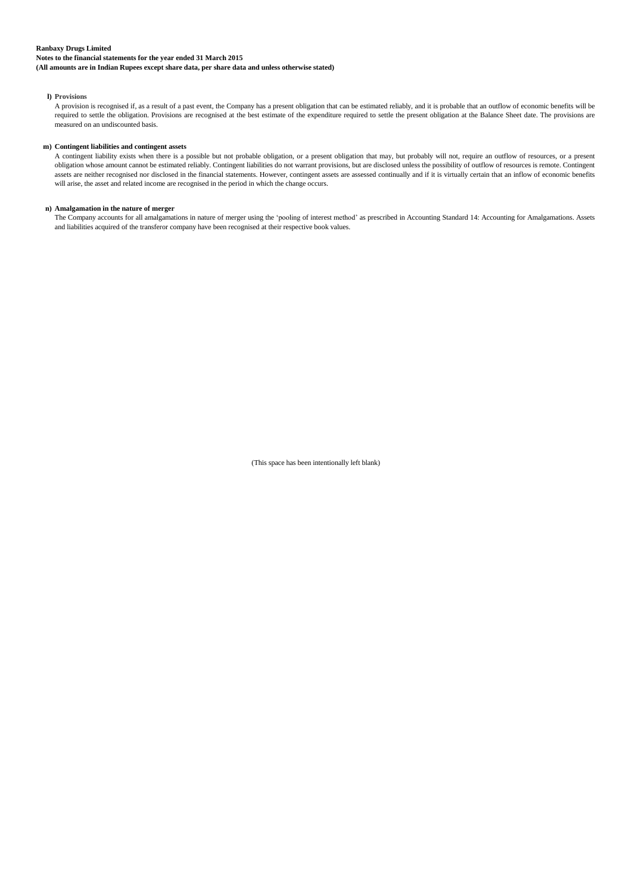**Notes to the financial statements for the year ended 31 March 2015**

**(All amounts are in Indian Rupees except share data, per share data and unless otherwise stated)**

## **l) Provisions**

A provision is recognised if, as a result of a past event, the Company has a present obligation that can be estimated reliably, and it is probable that an outflow of economic benefits will be required to settle the obligation. Provisions are recognised at the best estimate of the expenditure required to settle the present obligation at the Balance Sheet date. The provisions are measured on an undiscounted basis.

## **m) Contingent liabilities and contingent assets**

A contingent liability exists when there is a possible but not probable obligation, or a present obligation that may, but probably will not, require an outflow of resources, or a present obligation whose amount cannot be estimated reliably. Contingent liabilities do not warrant provisions, but are disclosed unless the possibility of outflow of resources is remote. Contingent assets are neither recognised nor disclosed in the financial statements. However, contingent assets are assessed continually and if it is virtually certain that an inflow of economic benefits will arise, the asset and related income are recognised in the period in which the change occurs.

#### **n) Amalgamation in the nature of merger**

The Company accounts for all amalgamations in nature of merger using the "pooling of interest method" as prescribed in Accounting Standard 14: Accounting for Amalgamations. Assets and liabilities acquired of the transferor company have been recognised at their respective book values.

(This space has been intentionally left blank)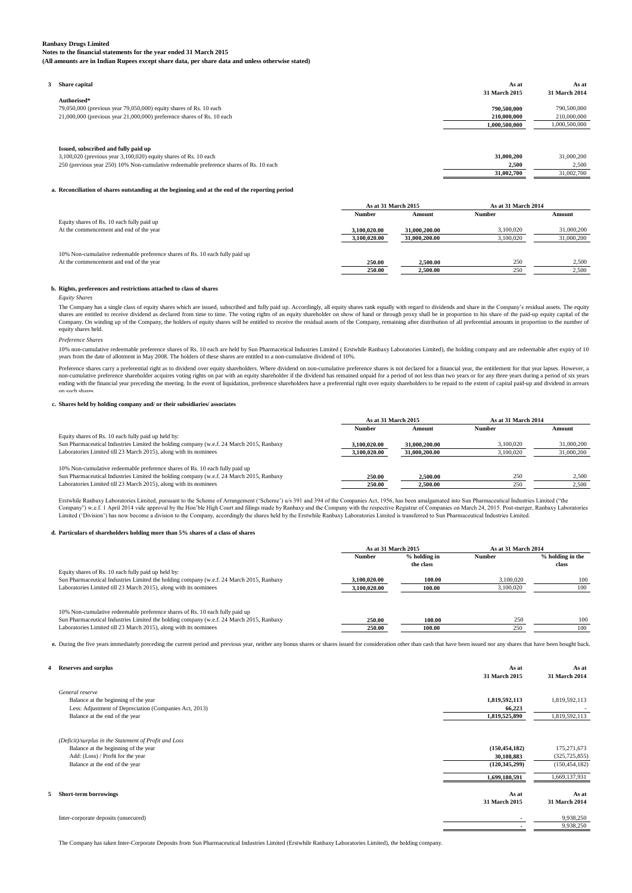**Notes to the financial statements for the year ended 31 March 2015 (All amounts are in Indian Rupees except share data, per share data and unless otherwise stated)**

**3 Share capital As at As at 31 March 2015 31 March 2014 Authorised\*** 79,050,000 (previous year 79,050,000) equity shares of Rs. 10 each **790,500,000** 790,500,000 21,000,000 (previous year 21,000,000) preference shares of Rs. 10 each **210,000,000** 210,000,000 **210,000,000** 210,000,000

| Issued, subscribed and fully paid up                                                            |            |
|-------------------------------------------------------------------------------------------------|------------|
| 3,100,020 (previous year 3,100,020) equity shares of Rs. 10 each<br>31,000,200                  | 31,000,200 |
| 250 (previous year 250) 10% Non-cumulative redeemable preference shares of Rs. 10 each<br>2.500 | 2,500      |

## **a. Reconciliation of shares outstanding at the beginning and at the end of the reporting period**

|                                                                              | As at 31 March 2015 |               | As at 31 March 2014 |            |
|------------------------------------------------------------------------------|---------------------|---------------|---------------------|------------|
|                                                                              | <b>Number</b>       | Amount        | <b>Number</b>       | Amount     |
| Equity shares of Rs. 10 each fully paid up                                   |                     |               |                     |            |
| At the commencement and end of the year                                      | 3.100.020.00        | 31,000,200,00 | 3,100,020           | 31,000,200 |
|                                                                              | 3.100.020.00        | 31,000,200,00 | 3,100,020           | 31,000,200 |
| 10% Non-cumulative redeemable preference shares of Rs. 10 each fully paid up |                     |               |                     |            |
| At the commencement and end of the year                                      | 250.00              | 2.500.00      | 250                 | 2.500      |
|                                                                              | 250.00              | 2,500.00      | 250                 | 2.500      |

 **1,000,500,000** 1,000,500,000

**31,002,700** 31,002,700

#### **b. Rights, preferences and restrictions attached to class of shares**

*Equity Shares*

The Company has a single class of equity shares which are issued, subscribed and fully paid up. Accordingly, all equity shares rank equally with regard to dividends and share in the Company's residual assets. The equity shares are entitled to receive dividend as declared from time to time. The voting rights of an equity shareholder on show of hand or through proxy shall be in proportion to his share of the paid-up equity capital of the<br>Co equity shares held.

*Preference Shares*

10% non-cumulative redeemable preference shares of Rs. 10 each are held by Sun Pharmacetical Industries Limited ( Erstwhile Ranbaxy Laboratories Limited), the holding company and are redeemable after expiry of 10 years from the date of allotment in May 2008. The holders of these shares are entitled to a non-cumulative dividend of 10%.

Preference shares carry a preferential right as to dividend over equity shareholders. Where dividend on non-cumulative preference shares is not declared for a financial year, the entitlement for that year lapses. However, ending with the financial year preceding the meeting. In the event of liquidation, preference shareholders have a preferential right over equity shareholders to be repaid to the extent of capital paid-up and dividend in ar on such shares.

#### **c. Shares held by holding company and/ or their subsidiaries/ associates**

| As at 31 March 2015 |               | As at 31 March 2014 |            |
|---------------------|---------------|---------------------|------------|
| <b>Number</b>       | Amount        | <b>Number</b>       | Amount     |
|                     |               |                     |            |
| 3.100.020.00        | 31,000,200,00 | 3.100.020           | 31,000,200 |
| 3,100,020.00        | 31,000,200,00 | 3,100,020           | 31,000,200 |
|                     |               |                     |            |
|                     |               |                     |            |
| 250.00              | 2,500.00      | 250                 | 2.500      |
| 250.00              | 2.500.00      | 250                 | 2.500      |
|                     |               |                     |            |

Erstwhile Ranbaxy Laboratories Limited, pursuant to the Scheme of Arrangement ('Scheme') u/s 391 and 394 of the Companies Act, 1956, has been amalgamated into Sun Pharmaceutical Industries Limited ("the Company") w.e.f. 1 April 2014 vide approval by the Hon'ble High Court and filings made by Ranbaxy and the Company with the respective Registrar of Companies on March 24, 2015. Post-merger, Ranbaxy Laboratories<br>Limited ('Di

#### **d. Particulars of shareholders holding more than 5% shares of a class of shares**

|                                                                                          | As at 31 March 2015 |                             | As at 31 March 2014 |                           |
|------------------------------------------------------------------------------------------|---------------------|-----------------------------|---------------------|---------------------------|
|                                                                                          | <b>Number</b>       | $%$ holding in<br>the class | <b>Number</b>       | % holding in the<br>class |
| Equity shares of Rs. 10 each fully paid up held by:                                      |                     |                             |                     |                           |
| Sun Pharmaceutical Industries Limited the holding company (w.e.f. 24 March 2015, Ranbaxy | 3.100.020.00        | 100.00                      | 3.100.020           | 100                       |
| Laboratories Limited till 23 March 2015), along with its nominees                        | 3.100.020.00        | 100.00                      | 3,100,020           | 100                       |
|                                                                                          |                     |                             |                     |                           |
|                                                                                          |                     |                             |                     |                           |
| 10% Non-cumulative redeemable preference shares of Rs. 10 each fully paid up             |                     |                             |                     |                           |
| Sun Pharmaceutical Industries Limited the holding company (w.e.f. 24 March 2015, Ranbaxy | 250.00              | 100.00                      | 250                 | 100                       |
| Laboratories Limited till 23 March 2015), along with its nominees                        | 250.00              | 100.00                      | 250                 | 100                       |

e. During the five years immediately preceding the current period and previous year, neither any bonus shares or shares issued for consideration other than cash that have been issued nor any shares that have been bought ba

| 4 | <b>Reserves and surplus</b>                            | As at<br>31 March 2015 | As at<br>31 March 2014 |
|---|--------------------------------------------------------|------------------------|------------------------|
|   | General reserve                                        |                        |                        |
|   | Balance at the beginning of the year                   | 1,819,592,113          | 1,819,592,113          |
|   | Less: Adjustment of Depreciation (Companies Act, 2013) | 66,223                 |                        |
|   | Balance at the end of the year                         | 1,819,525,890          | 1,819,592,113          |
|   | (Deficit)/surplus in the Statement of Profit and Loss  |                        |                        |
|   | Balance at the beginning of the year                   | (150, 454, 182)        | 175,271,673            |
|   | Add: (Loss) / Profit for the year                      | 30,108,883             | (325, 725, 855)        |
|   | Balance at the end of the year                         | (120, 345, 299)        | (150, 454, 182)        |
|   |                                                        | 1,699,180,591          | 1,669,137,931          |
|   | <b>Short-term borrowings</b>                           | As at                  | As at                  |
|   |                                                        | 31 March 2015          | 31 March 2014          |
|   | Inter-corporate deposits (unsecured)                   |                        | 9,938,250              |
|   |                                                        |                        | 9,938,250              |
|   |                                                        |                        |                        |

The Company has taken Inter-Corporate Deposits from Sun Pharmaceutical Industries Limited (Erstwhile Ranbaxy Laboratories Limited), the holding company.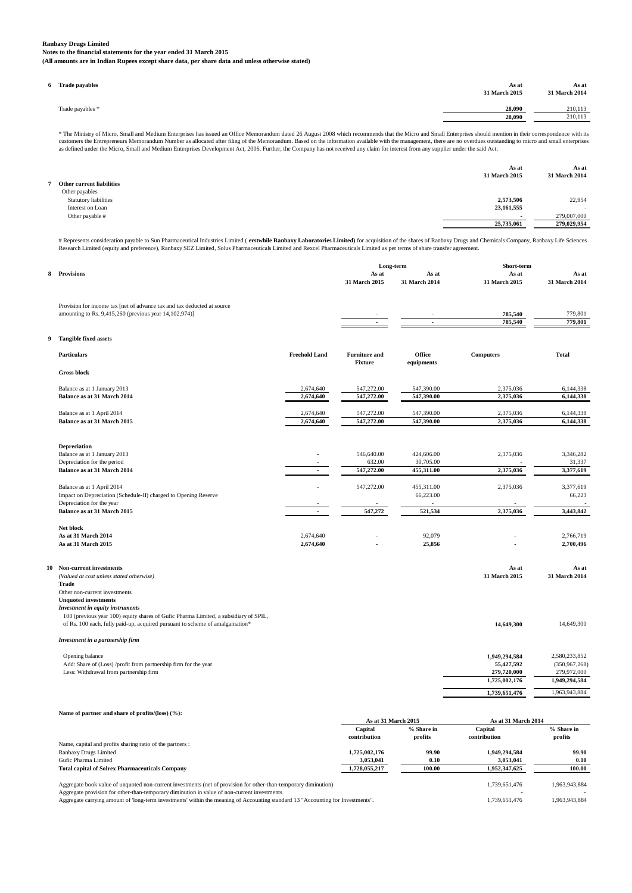**Notes to the financial statements for the year ended 31 March 2015 (All amounts are in Indian Rupees except share data, per share data and unless otherwise stated)**

| <b>Trade payables</b> | As at<br>31 March 2015 | As at<br>31 March 2014 |
|-----------------------|------------------------|------------------------|
| Trade payables *      | 28,090                 | 210,113                |
|                       | 28,090                 | 210,113                |
|                       |                        |                        |

\* The Ministry of Micro, Small and Medium Enterprises has issued an Office Memorandum dated 26 August 2008 which recommends that the Micro and Small Enterprises should mention in their correspondence with its<br>customers the

|                           | As at         | As at         |
|---------------------------|---------------|---------------|
|                           | 31 March 2015 | 31 March 2014 |
| Other current liabilities |               |               |
| Other payables            |               |               |
| Statutory liabilities     | 2,573,506     | 22,954        |
| Interest on Loan          | 23,161,555    | $\sim$        |
| Other payable #           | . .           | 279,007,000   |
|                           | 25,735,061    | 279,029,954   |
|                           |               |               |

# Represents consideration payable to Sun Pharmaceutical Industries Limited ( **erstwhile Ranbaxy Laboratories Limited**) for acquisition of the shares of Ranbaxy Drugs and Chemicals Company, Ranbaxy Life Sciences<br>Research L

|    |                                                                                      |                      | Long-term              |                        | Short-term             |                        |
|----|--------------------------------------------------------------------------------------|----------------------|------------------------|------------------------|------------------------|------------------------|
| 8  | <b>Provisions</b>                                                                    |                      | As at<br>31 March 2015 | As at<br>31 March 2014 | As at<br>31 March 2015 | As at<br>31 March 2014 |
|    |                                                                                      |                      |                        |                        |                        |                        |
|    | Provision for income tax [net of advance tax and tax deducted at source              |                      |                        |                        |                        |                        |
|    | amounting to Rs. 9,415,260 (previous year 14,102,974)]                               |                      |                        |                        | 785,540                | 779,801                |
|    |                                                                                      |                      |                        | $\overline{a}$         | 785,540                | 779,801                |
| 9  | <b>Tangible fixed assets</b>                                                         |                      |                        |                        |                        |                        |
|    | <b>Particulars</b>                                                                   | <b>Freehold Land</b> | <b>Furniture and</b>   | Office                 | <b>Computers</b>       | Total                  |
|    |                                                                                      |                      | <b>Fixture</b>         | equipments             |                        |                        |
|    | <b>Gross block</b>                                                                   |                      |                        |                        |                        |                        |
|    | Balance as at 1 January 2013                                                         | 2,674,640            | 547,272.00             | 547,390.00             | 2,375,036              | 6,144,338              |
|    | Balance as at 31 March 2014                                                          | 2,674,640            | 547,272.00             | 547,390.00             | 2,375,036              | 6,144,338              |
|    | Balance as at 1 April 2014                                                           | 2,674,640            | 547,272.00             | 547,390.00             | 2,375,036              | 6,144,338              |
|    | Balance as at 31 March 2015                                                          | 2,674,640            | 547,272.00             | 547,390.00             | 2,375,036              | 6,144,338              |
|    |                                                                                      |                      |                        |                        |                        |                        |
|    | <b>Depreciation</b>                                                                  |                      |                        |                        |                        |                        |
|    | Balance as at 1 January 2013                                                         |                      | 546,640.00             | 424,606.00             | 2,375,036              | 3,346,282              |
|    | Depreciation for the period                                                          |                      | 632.00                 | 30,705.00              |                        | 31,337                 |
|    | Balance as at 31 March 2014                                                          |                      | 547,272.00             | 455,311.00             | 2,375,036              | 3,377,619              |
|    | Balance as at 1 April 2014                                                           |                      | 547,272.00             | 455,311.00             | 2,375,036              | 3,377,619              |
|    | Impact on Depreciation (Schedule-II) charged to Opening Reserve                      |                      |                        | 66,223.00              |                        | 66,223                 |
|    | Depreciation for the year                                                            |                      |                        |                        |                        |                        |
|    | Balance as at 31 March 2015                                                          |                      | 547,272                | 521,534                | 2,375,036              | 3,443,842              |
|    | Net block                                                                            |                      |                        |                        |                        |                        |
|    | As at 31 March 2014                                                                  | 2,674,640            |                        | 92,079                 |                        | 2,766,719              |
|    | As at 31 March 2015                                                                  | 2,674,640            |                        | 25,856                 |                        | 2,700,496              |
|    |                                                                                      |                      |                        |                        |                        |                        |
| 10 | Non-current investments<br>(Valued at cost unless stated otherwise)                  |                      |                        |                        | As at<br>31 March 2015 | As at<br>31 March 2014 |
|    | <b>Trade</b>                                                                         |                      |                        |                        |                        |                        |
|    | Other non-current investments                                                        |                      |                        |                        |                        |                        |
|    | <b>Unquoted investments</b><br>Investment in equity instruments                      |                      |                        |                        |                        |                        |
|    | 100 (previous year 100) equity shares of Gufic Pharma Limited, a subsidiary of SPIL, |                      |                        |                        |                        |                        |
|    | of Rs. 100 each, fully paid-up, acquired pursuant to scheme of amalgamation*         |                      |                        |                        | 14,649,300             | 14,649,300             |
|    | Investment in a partnership firm                                                     |                      |                        |                        |                        |                        |
|    |                                                                                      |                      |                        |                        | 1,949,294,584          | 2,580,233,852          |
|    | Opening balance<br>Add: Share of (Loss) /profit from partnership firm for the year   |                      |                        |                        | 55,427,592             | (350,967,268)          |
|    | Less: Withdrawal from partnership firm                                               |                      |                        |                        | 279,720,000            | 279,972,000            |
|    |                                                                                      |                      |                        |                        | 1,725,002,176          | 1,949,294,584          |
|    |                                                                                      |                      |                        |                        | 1,739,651,476          | 1,963,943,884          |
|    |                                                                                      |                      |                        |                        |                        |                        |
|    | Name of partner and share of profits/(loss) (%):                                     |                      | As at 31 March 2015    |                        | As at 31 March 2014    |                        |
|    |                                                                                      |                      | Capital                | % Share in             | Capital                | % Share in             |
|    |                                                                                      |                      | contribution           | profits                | contribution           | profits                |
|    | Name, capital and profits sharing ratio of the partners :<br>Ranbaxy Drugs Limited   |                      | 1,725,002,176          | 99.90                  | 1,949,294,584          | 99.90                  |
|    | Gufic Pharma Limited                                                                 |                      | 3,053,041              | 0.10                   | 3,053,041              | 0.10                   |
|    | <b>Total capital of Solrex Pharmaceuticals Company</b>                               |                      | 1,728,055,217          | 100.00                 | 1,952,347,625          | 100.00                 |
|    |                                                                                      |                      |                        |                        |                        |                        |

Aggregate book value of unquoted non-current investments (net of provision for other-than-temporary diminution) 1,739,651,476 1,963,943,884<br>Aggregate provision for other-than-temporary diminution in value of non-current in

Aggregate carrying amount of 'long-term investments' within the meaning of Accounting standard 13 "Accounting for Investments". 1,739,651,476 1,963,943,884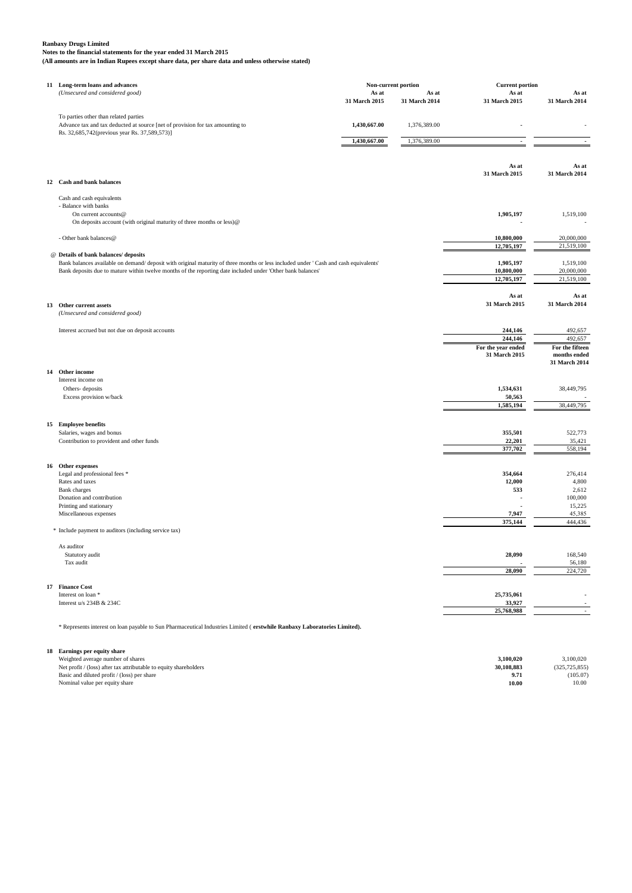**Notes to the financial statements for the year ended 31 March 2015 (All amounts are in Indian Rupees except share data, per share data and unless otherwise stated)**

| 11 Long-term loans and advances                                                                                                      | Non-current portion |               | <b>Current portion</b>              |                                 |
|--------------------------------------------------------------------------------------------------------------------------------------|---------------------|---------------|-------------------------------------|---------------------------------|
| (Unsecured and considered good)                                                                                                      | As at               | As at         | As at                               | As at                           |
|                                                                                                                                      | 31 March 2015       | 31 March 2014 | 31 March 2015                       | 31 March 2014                   |
|                                                                                                                                      |                     |               |                                     |                                 |
| To parties other than related parties<br>Advance tax and tax deducted at source [net of provision for tax amounting to               | 1,430,667.00        | 1,376,389.00  |                                     |                                 |
| Rs. 32,685,742(previous year Rs. 37,589,573)]                                                                                        |                     |               |                                     |                                 |
|                                                                                                                                      | 1,430,667.00        | 1,376,389.00  |                                     |                                 |
|                                                                                                                                      |                     |               |                                     |                                 |
|                                                                                                                                      |                     |               |                                     |                                 |
|                                                                                                                                      |                     |               | As at<br>31 March 2015              | As at<br>31 March 2014          |
| 12 Cash and bank balances                                                                                                            |                     |               |                                     |                                 |
|                                                                                                                                      |                     |               |                                     |                                 |
| Cash and cash equivalents                                                                                                            |                     |               |                                     |                                 |
| - Balance with banks                                                                                                                 |                     |               |                                     |                                 |
| On current accounts@<br>On deposits account (with original maturity of three months or less)@                                        |                     |               | 1,905,197                           | 1,519,100                       |
|                                                                                                                                      |                     |               |                                     |                                 |
| - Other bank balances@                                                                                                               |                     |               | 10,800,000                          | 20,000,000                      |
|                                                                                                                                      |                     |               | 12,705,197                          | 21,519,100                      |
| @ Details of bank balances/ deposits                                                                                                 |                     |               |                                     |                                 |
| Bank balances available on demand/ deposit with original maturity of three months or less included under 'Cash and cash equivalents' |                     |               | 1,905,197                           | 1,519,100                       |
| Bank deposits due to mature within twelve months of the reporting date included under 'Other bank balances'                          |                     |               | 10,800,000<br>12,705,197            | 20,000,000<br>21,519,100        |
|                                                                                                                                      |                     |               |                                     |                                 |
|                                                                                                                                      |                     |               | As at                               | As at                           |
| 13 Other current assets                                                                                                              |                     |               | 31 March 2015                       | 31 March 2014                   |
| (Unsecured and considered good)                                                                                                      |                     |               |                                     |                                 |
|                                                                                                                                      |                     |               |                                     |                                 |
| Interest accrued but not due on deposit accounts                                                                                     |                     |               | 244,146                             | 492,657                         |
|                                                                                                                                      |                     |               | 244,146                             | 492,657                         |
|                                                                                                                                      |                     |               | For the year ended<br>31 March 2015 | For the fifteen<br>months ended |
|                                                                                                                                      |                     |               |                                     | 31 March 2014                   |
| 14 Other income                                                                                                                      |                     |               |                                     |                                 |
| Interest income on                                                                                                                   |                     |               |                                     |                                 |
| Others-deposits                                                                                                                      |                     |               | 1,534,631                           | 38,449,795                      |
| Excess provision w/back                                                                                                              |                     |               | 50,563                              |                                 |
|                                                                                                                                      |                     |               | 1,585,194                           | 38,449,795                      |
|                                                                                                                                      |                     |               |                                     |                                 |
| 15 Employee benefits                                                                                                                 |                     |               |                                     |                                 |
| Salaries, wages and bonus                                                                                                            |                     |               | 355,501                             | 522,773                         |
| Contribution to provident and other funds                                                                                            |                     |               | 22,201<br>377,702                   | 35,421<br>558,194               |
|                                                                                                                                      |                     |               |                                     |                                 |
| 16 Other expenses                                                                                                                    |                     |               |                                     |                                 |
| Legal and professional fees *                                                                                                        |                     |               | 354,664                             | 276,414                         |
| Rates and taxes                                                                                                                      |                     |               | 12,000                              | 4,800                           |
| <b>Bank</b> charges                                                                                                                  |                     |               | 533                                 | 2,612                           |
| Donation and contribution                                                                                                            |                     |               |                                     | 100,000                         |
| Printing and stationary                                                                                                              |                     |               | 7,947                               | 15,225                          |
| Miscellaneous expenses                                                                                                               |                     |               | 375,144                             | 45,385<br>444,436               |
| * Include payment to auditors (including service tax)                                                                                |                     |               |                                     |                                 |
| As auditor                                                                                                                           |                     |               |                                     |                                 |
| Statutory audit                                                                                                                      |                     |               | 28,090                              | 168,540                         |
| Tax audit                                                                                                                            |                     |               |                                     | 56,180                          |
|                                                                                                                                      |                     |               | 28,090                              | 224,720                         |
| 17 Finance Cost                                                                                                                      |                     |               |                                     |                                 |
| Interest on loan *                                                                                                                   |                     |               | 25,735,061                          |                                 |
| Interest u/s 234B & 234C                                                                                                             |                     |               | 33,927                              |                                 |
|                                                                                                                                      |                     |               | 25,768,988                          | $\sim$                          |
|                                                                                                                                      |                     |               |                                     |                                 |
| * Represents interest on loan payable to Sun Pharmaceutical Industries Limited (erstwhile Ranbaxy Laboratories Limited).             |                     |               |                                     |                                 |
|                                                                                                                                      |                     |               |                                     |                                 |

| 18 Earnings per equity share                                      |            |                 |
|-------------------------------------------------------------------|------------|-----------------|
| Weighted average number of shares                                 | 3.100.020  | 3.100.020       |
| Net profit / (loss) after tax attributable to equity shareholders | 30.108.883 | (325, 725, 855) |
| Basic and diluted profit / (loss) per share                       | 9.71       | (105.07)        |
| Nominal value per equity share                                    | 10.00      | 10.00           |